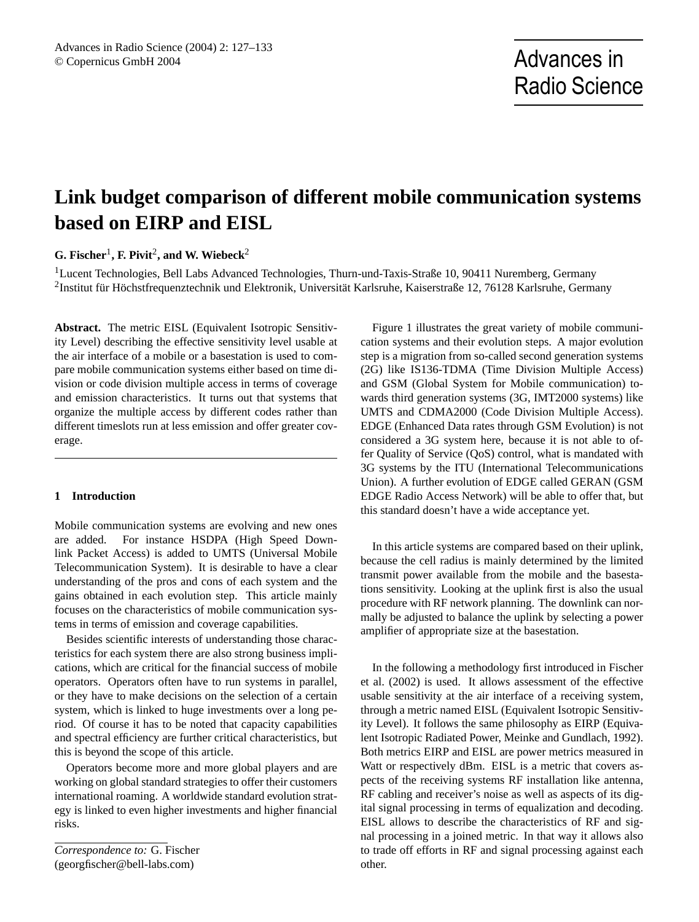# **Link budget comparison of different mobile communication systems based on EIRP and EISL**

**G. Fischer**<sup>1</sup> **, F. Pivit**<sup>2</sup> **, and W. Wiebeck**<sup>2</sup>

<sup>1</sup>Lucent Technologies, Bell Labs Advanced Technologies, Thurn-und-Taxis-Straße 10, 90411 Nuremberg, Germany  $^2$ Institut für Höchstfrequenztechnik und Elektronik, Universität Karlsruhe, Kaiserstraße 12, 76128 Karlsruhe, Germany

**Abstract.** The metric EISL (Equivalent Isotropic Sensitivity Level) describing the effective sensitivity level usable at the air interface of a mobile or a basestation is used to compare mobile communication systems either based on time division or code division multiple access in terms of coverage and emission characteristics. It turns out that systems that organize the multiple access by different codes rather than different timeslots run at less emission and offer greater coverage.

## **1 Introduction**

Mobile communication systems are evolving and new ones are added. For instance HSDPA (High Speed Downlink Packet Access) is added to UMTS (Universal Mobile Telecommunication System). It is desirable to have a clear understanding of the pros and cons of each system and the gains obtained in each evolution step. This article mainly focuses on the characteristics of mobile communication systems in terms of emission and coverage capabilities.

Besides scientific interests of understanding those characteristics for each system there are also strong business implications, which are critical for the financial success of mobile operators. Operators often have to run systems in parallel, or they have to make decisions on the selection of a certain system, which is linked to huge investments over a long period. Of course it has to be noted that capacity capabilities and spectral efficiency are further critical characteristics, but this is beyond the scope of this article.

Operators become more and more global players and are working on global standard strategies to offer their customers international roaming. A worldwide standard evolution strategy is linked to even higher investments and higher financial risks.

*Correspondence to:* G. Fischer (georgfischer@bell-labs.com)

Figure 1 illustrates the great variety of mobile communication systems and their evolution steps. A major evolution step is a migration from so-called second generation systems (2G) like IS136-TDMA (Time Division Multiple Access) and GSM (Global System for Mobile communication) towards third generation systems (3G, IMT2000 systems) like UMTS and CDMA2000 (Code Division Multiple Access). EDGE (Enhanced Data rates through GSM Evolution) is not considered a 3G system here, because it is not able to offer Quality of Service (QoS) control, what is mandated with 3G systems by the ITU (International Telecommunications Union). A further evolution of EDGE called GERAN (GSM EDGE Radio Access Network) will be able to offer that, but this standard doesn't have a wide acceptance yet.

In this article systems are compared based on their uplink, because the cell radius is mainly determined by the limited transmit power available from the mobile and the basestations sensitivity. Looking at the uplink first is also the usual procedure with RF network planning. The downlink can normally be adjusted to balance the uplink by selecting a power amplifier of appropriate size at the basestation.

In the following a methodology first introduced in Fischer et al. (2002) is used. It allows assessment of the effective usable sensitivity at the air interface of a receiving system, through a metric named EISL (Equivalent Isotropic Sensitivity Level). It follows the same philosophy as EIRP (Equivalent Isotropic Radiated Power, Meinke and Gundlach, 1992). Both metrics EIRP and EISL are power metrics measured in Watt or respectively dBm. EISL is a metric that covers aspects of the receiving systems RF installation like antenna, RF cabling and receiver's noise as well as aspects of its digital signal processing in terms of equalization and decoding. EISL allows to describe the characteristics of RF and signal processing in a joined metric. In that way it allows also to trade off efforts in RF and signal processing against each other.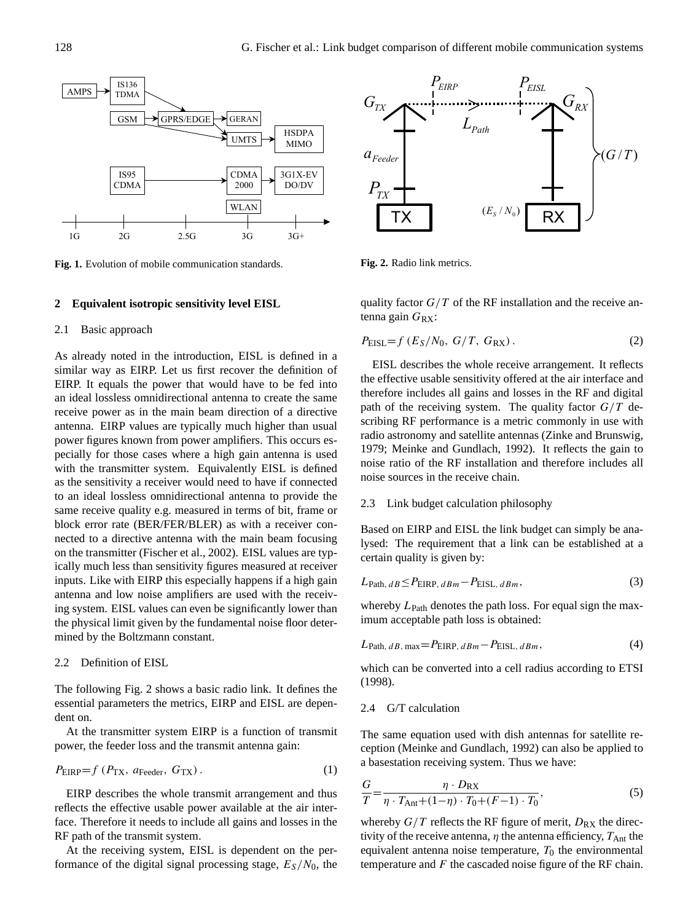

**Fig. 1.** Evolution of mobile communication standards.

#### **2 Equivalent isotropic sensitivity level EISL**

### 2.1 Basic approach

As already noted in the introduction, EISL is defined in a similar way as EIRP. Let us first recover the definition of EIRP. It equals the power that would have to be fed into an ideal lossless omnidirectional antenna to create the same receive power as in the main beam direction of a directive antenna. EIRP values are typically much higher than usual power figures known from power amplifiers. This occurs especially for those cases where a high gain antenna is used with the transmitter system. Equivalently EISL is defined as the sensitivity a receiver would need to have if connected to an ideal lossless omnidirectional antenna to provide the same receive quality e.g. measured in terms of bit, frame or block error rate (BER/FER/BLER) as with a receiver connected to a directive antenna with the main beam focusing on the transmitter (Fischer et al., 2002). EISL values are typically much less than sensitivity figures measured at receiver inputs. Like with EIRP this especially happens if a high gain antenna and low noise amplifiers are used with the receiving system. EISL values can even be significantly lower than the physical limit given by the fundamental noise floor determined by the Boltzmann constant.

#### 2.2 Definition of EISL

The following Fig. 2 shows a basic radio link. It defines the essential parameters the metrics, EIRP and EISL are dependent on.

At the transmitter system EIRP is a function of transmit power, the feeder loss and the transmit antenna gain:

$$
P_{\text{EIRP}} = f (P_{\text{TX}}, a_{\text{Feeder}}, G_{\text{TX}}). \tag{1}
$$

EIRP describes the whole transmit arrangement and thus reflects the effective usable power available at the air interface. Therefore it needs to include all gains and losses in the RF path of the transmit system.

At the receiving system, EISL is dependent on the performance of the digital signal processing stage,  $E_S/N_0$ , the



**Fig. 2.** Radio link metrics.

quality factor  $G/T$  of the RF installation and the receive antenna gain  $G_{RX}$ :

$$
P_{\text{EISL}} = f\left(E_S/N_0, G/T, G_{\text{RX}}\right). \tag{2}
$$

EISL describes the whole receive arrangement. It reflects the effective usable sensitivity offered at the air interface and therefore includes all gains and losses in the RF and digital path of the receiving system. The quality factor  $G/T$  describing RF performance is a metric commonly in use with radio astronomy and satellite antennas (Zinke and Brunswig, 1979; Meinke and Gundlach, 1992). It reflects the gain to noise ratio of the RF installation and therefore includes all noise sources in the receive chain.

#### 2.3 Link budget calculation philosophy

Based on EIRP and EISL the link budget can simply be analysed: The requirement that a link can be established at a certain quality is given by:

$$
L_{\text{Path}, dB} \le P_{\text{EIRP}, dBm} - P_{\text{EISL}, dBm},\tag{3}
$$

whereby  $L_{\text{Path}}$  denotes the path loss. For equal sign the maximum acceptable path loss is obtained:

$$
L_{\text{Path}, dB, \max} = P_{\text{EIRP}, dBm} - P_{\text{EISL}, dBm},\tag{4}
$$

which can be converted into a cell radius according to ETSI (1998).

#### 2.4 G/T calculation

The same equation used with dish antennas for satellite reception (Meinke and Gundlach, 1992) can also be applied to a basestation receiving system. Thus we have:

$$
\frac{G}{T} = \frac{\eta \cdot D_{\text{RX}}}{\eta \cdot T_{\text{Ant}} + (1 - \eta) \cdot T_0 + (F - 1) \cdot T_0},\tag{5}
$$

whereby  $G/T$  reflects the RF figure of merit,  $D_{RX}$  the directivity of the receive antenna,  $\eta$  the antenna efficiency,  $T_{\text{Ant}}$  the equivalent antenna noise temperature,  $T_0$  the environmental temperature and  $F$  the cascaded noise figure of the RF chain.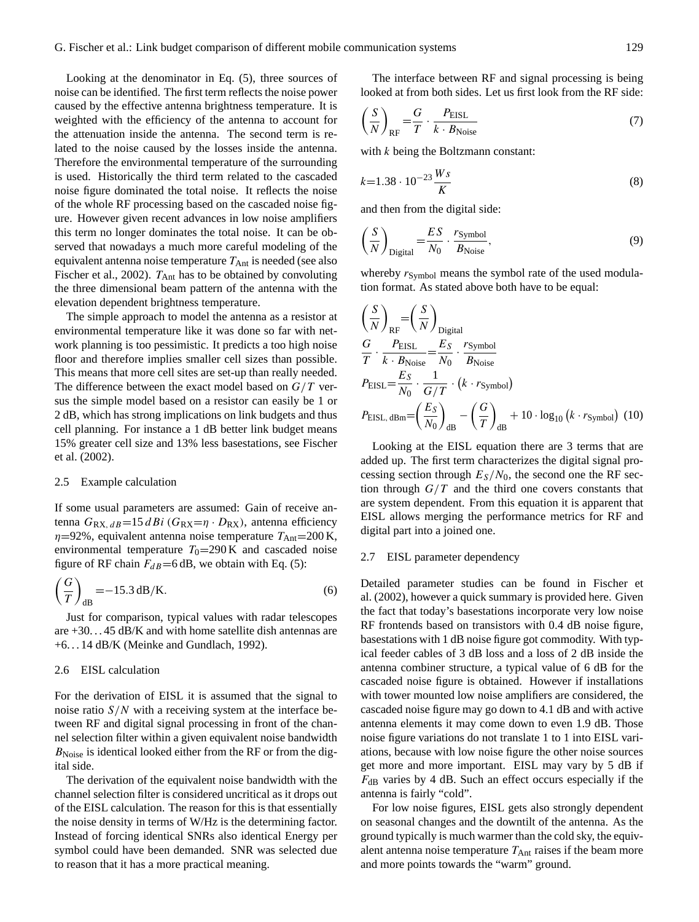Looking at the denominator in Eq. (5), three sources of noise can be identified. The first term reflects the noise power caused by the effective antenna brightness temperature. It is weighted with the efficiency of the antenna to account for the attenuation inside the antenna. The second term is related to the noise caused by the losses inside the antenna. Therefore the environmental temperature of the surrounding is used. Historically the third term related to the cascaded noise figure dominated the total noise. It reflects the noise of the whole RF processing based on the cascaded noise figure. However given recent advances in low noise amplifiers this term no longer dominates the total noise. It can be observed that nowadays a much more careful modeling of the equivalent antenna noise temperature  $T_{\text{Ant}}$  is needed (see also Fischer et al., 2002).  $T_{\text{Ant}}$  has to be obtained by convoluting the three dimensional beam pattern of the antenna with the elevation dependent brightness temperature.

The simple approach to model the antenna as a resistor at environmental temperature like it was done so far with network planning is too pessimistic. It predicts a too high noise floor and therefore implies smaller cell sizes than possible. This means that more cell sites are set-up than really needed. The difference between the exact model based on  $G/T$  versus the simple model based on a resistor can easily be 1 or 2 dB, which has strong implications on link budgets and thus cell planning. For instance a 1 dB better link budget means 15% greater cell size and 13% less basestations, see Fischer et al. (2002).

## 2.5 Example calculation

If some usual parameters are assumed: Gain of receive antenna  $G_{RX, dB} = 15 dBi (G_{RX} = \eta \cdot D_{RX})$ , antenna efficiency  $\eta$ =92%, equivalent antenna noise temperature  $T_{\text{Ant}}$ =200 K, environmental temperature  $T_0=290 \text{ K}$  and cascaded noise figure of RF chain  $F_{dB}$ =6 dB, we obtain with Eq. (5):

$$
\left(\frac{G}{T}\right)_{\text{dB}} = -15.3 \,\text{dB/K}.\tag{6}
$$

Just for comparison, typical values with radar telescopes are +30. . . 45 dB/K and with home satellite dish antennas are +6. . . 14 dB/K (Meinke and Gundlach, 1992).

## 2.6 EISL calculation

For the derivation of EISL it is assumed that the signal to noise ratio  $S/N$  with a receiving system at the interface between RF and digital signal processing in front of the channel selection filter within a given equivalent noise bandwidth  $B_{\text{Noise}}$  is identical looked either from the RF or from the digital side.

The derivation of the equivalent noise bandwidth with the channel selection filter is considered uncritical as it drops out of the EISL calculation. The reason for this is that essentially the noise density in terms of W/Hz is the determining factor. Instead of forcing identical SNRs also identical Energy per symbol could have been demanded. SNR was selected due to reason that it has a more practical meaning.

The interface between RF and signal processing is being looked at from both sides. Let us first look from the RF side:

$$
\left(\frac{S}{N}\right)_{\text{RF}} = \frac{G}{T} \cdot \frac{P_{\text{EISL}}}{k \cdot B_{\text{Noise}}} \tag{7}
$$

with  $k$  being the Boltzmann constant:

$$
k=1.38 \cdot 10^{-23} \frac{W_s}{K} \tag{8}
$$

and then from the digital side:

$$
\left(\frac{S}{N}\right)_{\text{Digital}} = \frac{ES}{N_0} \cdot \frac{r_{\text{Symbol}}}{B_{\text{Noise}}},\tag{9}
$$

whereby  $r<sub>Symbol</sub>$  means the symbol rate of the used modulation format. As stated above both have to be equal:

$$
\left(\frac{S}{N}\right)_{RF} = \left(\frac{S}{N}\right)_{\text{Digital}}
$$
\n
$$
\frac{G}{T} \cdot \frac{P_{\text{EISL}}}{k \cdot B_{\text{Noise}}} = \frac{E_S}{N_0} \cdot \frac{r_{\text{Symbol}}}{B_{\text{Noise}}}
$$
\n
$$
P_{\text{EISL}} = \frac{E_S}{N_0} \cdot \frac{1}{G/T} \cdot (k \cdot r_{\text{Symbol}})
$$
\n
$$
P_{\text{EISL, dBm}} = \left(\frac{E_S}{N_0}\right)_{\text{dB}} - \left(\frac{G}{T}\right)_{\text{dB}} + 10 \cdot \log_{10} (k \cdot r_{\text{Symbol}}) \tag{10}
$$

Looking at the EISL equation there are 3 terms that are added up. The first term characterizes the digital signal processing section through  $E_s/N_0$ , the second one the RF section through  $G/T$  and the third one covers constants that are system dependent. From this equation it is apparent that EISL allows merging the performance metrics for RF and digital part into a joined one.

#### 2.7 EISL parameter dependency

Detailed parameter studies can be found in Fischer et al. (2002), however a quick summary is provided here. Given the fact that today's basestations incorporate very low noise RF frontends based on transistors with 0.4 dB noise figure, basestations with 1 dB noise figure got commodity. With typical feeder cables of 3 dB loss and a loss of 2 dB inside the antenna combiner structure, a typical value of 6 dB for the cascaded noise figure is obtained. However if installations with tower mounted low noise amplifiers are considered, the cascaded noise figure may go down to 4.1 dB and with active antenna elements it may come down to even 1.9 dB. Those noise figure variations do not translate 1 to 1 into EISL variations, because with low noise figure the other noise sources get more and more important. EISL may vary by 5 dB if  $F_{dB}$  varies by 4 dB. Such an effect occurs especially if the antenna is fairly "cold".

For low noise figures, EISL gets also strongly dependent on seasonal changes and the downtilt of the antenna. As the ground typically is much warmer than the cold sky, the equivalent antenna noise temperature  $T_{\text{Ant}}$  raises if the beam more and more points towards the "warm" ground.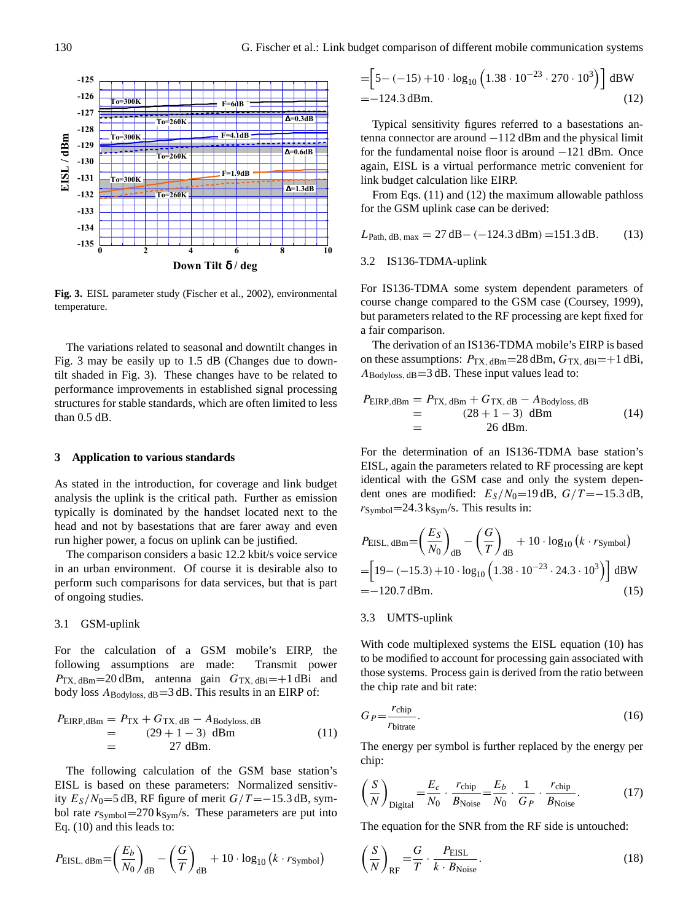

**Fig. 3.** EISL parameter study (Fischer et al., 2002), environmental temperature.

The variations related to seasonal and downtilt changes in Fig. 3 may be easily up to 1.5 dB (Changes due to downtilt shaded in Fig. 3). These changes have to be related to performance improvements in established signal processing structures for stable standards, which are often limited to less than 0.5 dB.

### **3 Application to various standards**

As stated in the introduction, for coverage and link budget analysis the uplink is the critical path. Further as emission typically is dominated by the handset located next to the head and not by basestations that are farer away and even run higher power, a focus on uplink can be justified.

The comparison considers a basic 12.2 kbit/s voice service in an urban environment. Of course it is desirable also to perform such comparisons for data services, but that is part of ongoing studies.

#### 3.1 GSM-uplink

For the calculation of a GSM mobile's EIRP, the following assumptions are made: Transmit power  $P_{\text{TX}, \text{dBm}}=20 \text{ dBm}$ , antenna gain  $G_{\text{TX}, \text{dBi}}=+1 \text{ dBi}$  and body loss  $A_{\text{Bodvloss, dB}} = 3$  dB. This results in an EIRP of:

$$
P_{\text{EIRP},\text{dBm}} = P_{\text{TX}} + G_{\text{TX},\text{ dB}} - A_{\text{Bodyloss},\text{ dB}}
$$
  
= (29 + 1 - 3) dBm  
= 27 dBm. (11)

The following calculation of the GSM base station's EISL is based on these parameters: Normalized sensitivity  $E_S/N_0$ =5 dB, RF figure of merit  $G/T = -15.3$  dB, symbol rate  $r<sub>Symbol</sub>=270$  k<sub>Sym</sub>/s. These parameters are put into Eq. (10) and this leads to:

$$
P_{\text{EISL, dBm}} = \left(\frac{E_b}{N_0}\right)_{\text{dB}} - \left(\frac{G}{T}\right)_{\text{dB}} + 10 \cdot \log_{10} \left(k \cdot r_{\text{Symbol}}\right)
$$

$$
= \left[ 5 - (-15) + 10 \cdot \log_{10} \left( 1.38 \cdot 10^{-23} \cdot 270 \cdot 10^3 \right) \right] \, \text{dBW}
$$
\n
$$
= -124.3 \, \text{dBm}.
$$
\n(12)

Typical sensitivity figures referred to a basestations antenna connector are around −112 dBm and the physical limit for the fundamental noise floor is around −121 dBm. Once again, EISL is a virtual performance metric convenient for link budget calculation like EIRP.

From Eqs. (11) and (12) the maximum allowable pathloss for the GSM uplink case can be derived:

$$
L_{\text{Path, dB, max}} = 27 \,\text{dB} - (-124.3 \,\text{dBm}) = 151.3 \,\text{dB}.
$$
 (13)

#### 3.2 IS136-TDMA-uplink

For IS136-TDMA some system dependent parameters of course change compared to the GSM case (Coursey, 1999), but parameters related to the RF processing are kept fixed for a fair comparison.

The derivation of an IS136-TDMA mobile's EIRP is based on these assumptions:  $P_{TX, dBm} = 28$  dBm,  $G_{TX, dBi} = +1$  dBi,  $A_{\text{Bodyloss}, dB} = 3 \text{ dB}$ . These input values lead to:

$$
P_{\text{EIRP},\text{dBm}} = P_{\text{TX},\text{dBm}} + G_{\text{TX},\text{dB}} - A_{\text{Bodyloss},\text{dB}}
$$
  
= (28 + 1 - 3) dBm  
= 26 dBm. (14)

For the determination of an IS136-TDMA base station's EISL, again the parameters related to RF processing are kept identical with the GSM case and only the system dependent ones are modified:  $E_S/N_0=19$  dB,  $G/T = -15.3$  dB,  $r<sub>Symbol</sub>=24.3$  k<sub>Sym</sub>/s. This results in:

$$
P_{\text{EISL, dBm}} = \left(\frac{E_S}{N_0}\right)_{\text{dB}} - \left(\frac{G}{T}\right)_{\text{dB}} + 10 \cdot \log_{10} \left(k \cdot r_{\text{Symbol}}\right)
$$
  
=  $\left[19 - (-15.3) + 10 \cdot \log_{10} \left(1.38 \cdot 10^{-23} \cdot 24.3 \cdot 10^3\right)\right] \text{ dBW}$   
= -120.7 dBm. (15)

#### 3.3 UMTS-uplink

With code multiplexed systems the EISL equation (10) has to be modified to account for processing gain associated with those systems. Process gain is derived from the ratio between the chip rate and bit rate:

$$
G_P = \frac{r_{\text{chip}}}{r_{\text{bitrate}}}.\tag{16}
$$

The energy per symbol is further replaced by the energy per chip:

$$
\left(\frac{S}{N}\right)_{\text{Digital}} = \frac{E_c}{N_0} \cdot \frac{r_{\text{chip}}}{B_{\text{Noise}}} = \frac{E_b}{N_0} \cdot \frac{1}{G_P} \cdot \frac{r_{\text{chip}}}{B_{\text{Noise}}}.\tag{17}
$$

The equation for the SNR from the RF side is untouched:

$$
\left(\frac{S}{N}\right)_{\text{RF}} = \frac{G}{T} \cdot \frac{P_{\text{EISL}}}{k \cdot B_{\text{Noise}}}.
$$
\n(18)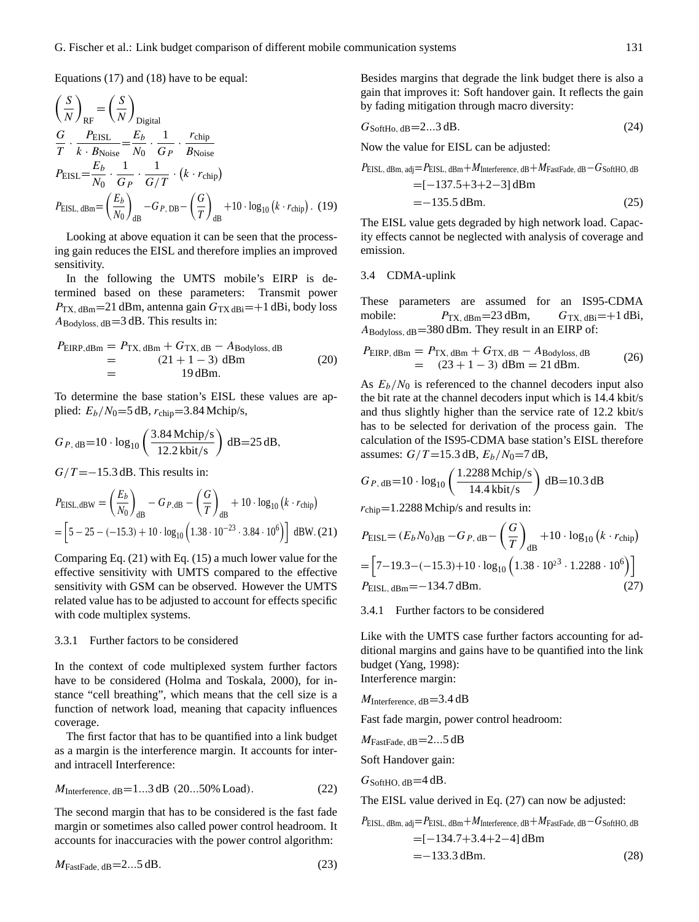Equations (17) and (18) have to be equal:

$$
\left(\frac{S}{N}\right)_{RF} = \left(\frac{S}{N}\right)_{\text{Digital}}
$$
\n
$$
\frac{G}{T} \cdot \frac{P_{\text{EISL}}}{k \cdot B_{\text{Noise}}} = \frac{E_b}{N_0} \cdot \frac{1}{G_P} \cdot \frac{r_{\text{chip}}}{B_{\text{Noise}}}
$$
\n
$$
P_{\text{EISL}} = \frac{E_b}{N_0} \cdot \frac{1}{G_P} \cdot \frac{1}{G/T} \cdot (k \cdot r_{\text{chip}})
$$
\n
$$
P_{\text{EISL, dBm}} = \left(\frac{E_b}{N_0}\right)_{\text{dB}} - G_{P, \text{DB}} - \left(\frac{G}{T}\right)_{\text{dB}} + 10 \cdot \log_{10} \left(k \cdot r_{\text{chip}}\right). \quad (19)
$$

Looking at above equation it can be seen that the processing gain reduces the EISL and therefore implies an improved sensitivity.

In the following the UMTS mobile's EIRP is determined based on these parameters: Transmit power  $P_{\text{TX}, \text{dBm}} = 21 \text{ dBm}$ , antenna gain  $G_{\text{TX}, \text{dBi}} = +1 \text{ dBi}$ , body loss  $A_{\text{Bodvloss, dB}} = 3$  dB. This results in:

$$
P_{\text{EIRP},\text{dBm}} = P_{\text{TX},\text{dBm}} + G_{\text{TX},\text{dB}} - A_{\text{Bodyloss},\text{dB}}
$$
  
= (21 + 1 - 3) dBm  
= 19 dBm. (20)

To determine the base station's EISL these values are applied:  $E_b/N_0=5$  dB,  $r_{\text{chip}}=3.84$  Mchip/s,

$$
G_{P, \text{ dB}} = 10 \cdot \log_{10} \left( \frac{3.84 \text{ Mchip/s}}{12.2 \text{ kbit/s}} \right) \text{ dB} = 25 \text{ dB},
$$

 $G/T = -15.3$  dB. This results in:

$$
P_{\text{EISL},\text{dBW}} = \left(\frac{E_b}{N_0}\right)_{\text{dB}} - G_{P,\text{dB}} - \left(\frac{G}{T}\right)_{\text{dB}} + 10 \cdot \log_{10} \left(k \cdot r_{\text{chip}}\right)
$$

$$
= \left[5 - 25 - (-15.3) + 10 \cdot \log_{10} \left(1.38 \cdot 10^{-23} \cdot 3.84 \cdot 10^6\right)\right] \text{ dBW. (21)}
$$

Comparing Eq. (21) with Eq. (15) a much lower value for the effective sensitivity with UMTS compared to the effective sensitivity with GSM can be observed. However the UMTS related value has to be adjusted to account for effects specific with code multiplex systems.

#### 3.3.1 Further factors to be considered

In the context of code multiplexed system further factors have to be considered (Holma and Toskala, 2000), for instance "cell breathing", which means that the cell size is a function of network load, meaning that capacity influences coverage.

The first factor that has to be quantified into a link budget as a margin is the interference margin. It accounts for interand intracell Interference:

$$
M_{\text{Interference, dB}} = 1...3 \text{ dB} (20...50\% \text{ Load}).
$$
 (22)

The second margin that has to be considered is the fast fade margin or sometimes also called power control headroom. It accounts for inaccuracies with the power control algorithm:

 $M_{\text{FastFade, dB}} = 2...5 \text{ dB}.$  (23)

Besides margins that degrade the link budget there is also a gain that improves it: Soft handover gain. It reflects the gain by fading mitigation through macro diversity:

$$
G_{\text{SoftHo},\,\text{dB}} = 2...3\,\text{dB}.\tag{24}
$$

Now the value for EISL can be adjusted:

$$
P_{\text{EISL, dBm, adj}} = P_{\text{EISL, dBm}} + M_{\text{Interference, dB}} + M_{\text{FastFade, dB}} - G_{\text{SoftHO, dB}}
$$
  
= 
$$
[-137.5 + 3 + 2 - 3] \text{ dBm}
$$
  
= 
$$
-135.5 \text{ dBm}.
$$
 (25)

The EISL value gets degraded by high network load. Capacity effects cannot be neglected with analysis of coverage and emission.

## 3.4 CDMA-uplink

These parameters are assumed for an IS95-CDMA mobile:  $P_{\text{TX, dBm}} = 23 \text{ dBm}, \qquad G_{\text{TX, dBi}} = +1 \text{ dBi},$  $A_{\text{Bodyloss, dB}} = 380 \text{ dBm}$ . They result in an EIRP of:

$$
P_{\text{EIRP, dBm}} = P_{\text{TX, dBm}} + G_{\text{TX, dB}} - A_{\text{Bodyloss, dB}}
$$
  
= (23 + 1 - 3) dBm = 21 dBm. (26)

As  $E_b/N_0$  is referenced to the channel decoders input also the bit rate at the channel decoders input which is 14.4 kbit/s and thus slightly higher than the service rate of 12.2 kbit/s has to be selected for derivation of the process gain. The calculation of the IS95-CDMA base station's EISL therefore assumes:  $G/T = 15.3$  dB,  $E_h/N_0 = 7$  dB,

$$
G_{P, \text{ dB}} = 10 \cdot \log_{10} \left( \frac{1.2288 \text{ Mchip/s}}{14.4 \text{ kbit/s}} \right) \text{ dB} = 10.3 \text{ dB}
$$

 $r_{\text{chip}} = 1.2288$  Mchip/s and results in:

$$
P_{\text{EISL}} = (E_b N_0)_{\text{dB}} - G_{P, \text{ dB}} - \left(\frac{G}{T}\right)_{\text{dB}} + 10 \cdot \log_{10} \left(k \cdot r_{\text{chip}}\right)
$$

$$
= \left[7 - 19.3 - (-15.3) + 10 \cdot \log_{10} \left(1.38 \cdot 10^{23} \cdot 1.2288 \cdot 10^6\right)\right]
$$

$$
P_{\text{EISL, dBm}} = -134.7 \text{ dBm}.
$$
 (27)

3.4.1 Further factors to be considered

Like with the UMTS case further factors accounting for additional margins and gains have to be quantified into the link budget (Yang, 1998): Interference margin:

 $M_{\text{Interference, dB}} = 3.4 \text{ dB}$ 

Fast fade margin, power control headroom:

 $M_{\text{FastFade, dB}} = 2...5 \text{ dB}$ 

Soft Handover gain:

 $G_{\text{SoftHO, dB}} = 4 \text{ dB}.$ 

The EISL value derived in Eq. (27) can now be adjusted:

$$
P_{\text{EISL, dBm, adj}} = P_{\text{EISL, dBm}} + M_{\text{Interference, dB}} + M_{\text{FastFade, dB}} - G_{\text{SoftHO, dB}}
$$
  
= [-134.7+3.4+2-4] dBm  
= -133.3 dBm. (28)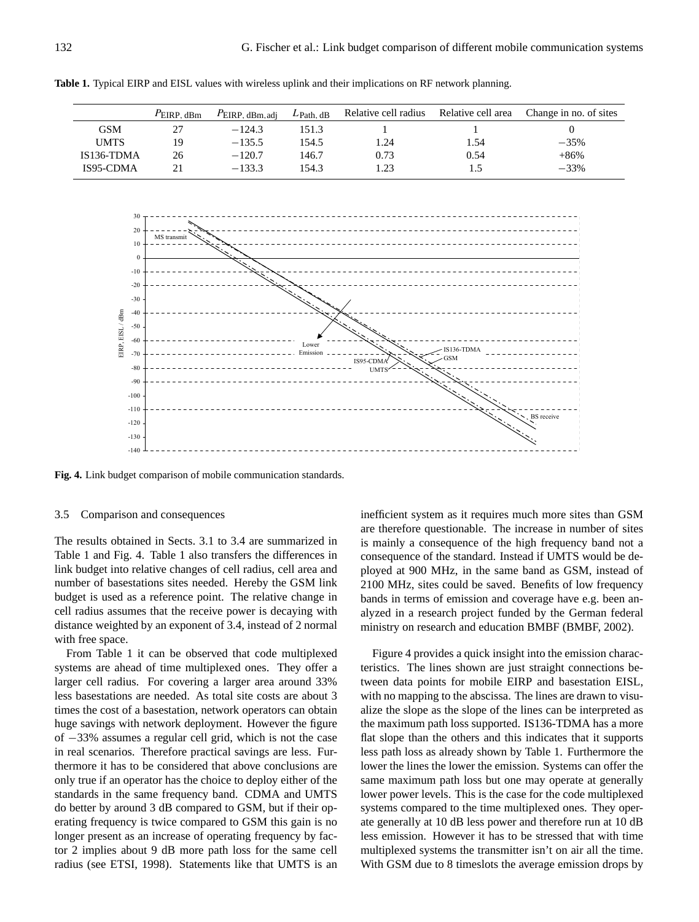|             | $P$ EIRP. dBm | $P_{\text{EIRP, dBm, adj}}$ | $L$ Path, dB | Relative cell radius | Relative cell area | Change in no. of sites |
|-------------|---------------|-----------------------------|--------------|----------------------|--------------------|------------------------|
| GSM         |               | $-124.3$                    | 151.3        |                      |                    |                        |
| <b>UMTS</b> | 19            | $-135.5$                    | 154.5        | 1.24                 | 54.،               | $-35%$                 |
| IS136-TDMA  | 26            | $-120.7$                    | 146.7        | 0.73                 | 0.54               | $+86%$                 |
| IS95-CDMA   |               | $-133.3$                    | 154.3        | .23                  |                    | $-33%$                 |

**Table 1.** Typical EIRP and EISL values with wireless uplink and their implications on RF network planning.



**Fig. 4.** Link budget comparison of mobile communication standards.

#### 3.5 Comparison and consequences

The results obtained in Sects. 3.1 to 3.4 are summarized in Table 1 and Fig. 4. Table 1 also transfers the differences in link budget into relative changes of cell radius, cell area and number of basestations sites needed. Hereby the GSM link budget is used as a reference point. The relative change in cell radius assumes that the receive power is decaying with distance weighted by an exponent of 3.4, instead of 2 normal with free space.

From Table 1 it can be observed that code multiplexed systems are ahead of time multiplexed ones. They offer a larger cell radius. For covering a larger area around 33% less basestations are needed. As total site costs are about 3 times the cost of a basestation, network operators can obtain huge savings with network deployment. However the figure of −33% assumes a regular cell grid, which is not the case in real scenarios. Therefore practical savings are less. Furthermore it has to be considered that above conclusions are only true if an operator has the choice to deploy either of the standards in the same frequency band. CDMA and UMTS do better by around 3 dB compared to GSM, but if their operating frequency is twice compared to GSM this gain is no longer present as an increase of operating frequency by factor 2 implies about 9 dB more path loss for the same cell radius (see ETSI, 1998). Statements like that UMTS is an inefficient system as it requires much more sites than GSM are therefore questionable. The increase in number of sites is mainly a consequence of the high frequency band not a consequence of the standard. Instead if UMTS would be deployed at 900 MHz, in the same band as GSM, instead of 2100 MHz, sites could be saved. Benefits of low frequency bands in terms of emission and coverage have e.g. been analyzed in a research project funded by the German federal ministry on research and education BMBF (BMBF, 2002).

Figure 4 provides a quick insight into the emission characteristics. The lines shown are just straight connections between data points for mobile EIRP and basestation EISL, with no mapping to the abscissa. The lines are drawn to visualize the slope as the slope of the lines can be interpreted as the maximum path loss supported. IS136-TDMA has a more flat slope than the others and this indicates that it supports less path loss as already shown by Table 1. Furthermore the lower the lines the lower the emission. Systems can offer the same maximum path loss but one may operate at generally lower power levels. This is the case for the code multiplexed systems compared to the time multiplexed ones. They operate generally at 10 dB less power and therefore run at 10 dB less emission. However it has to be stressed that with time multiplexed systems the transmitter isn't on air all the time. With GSM due to 8 timeslots the average emission drops by